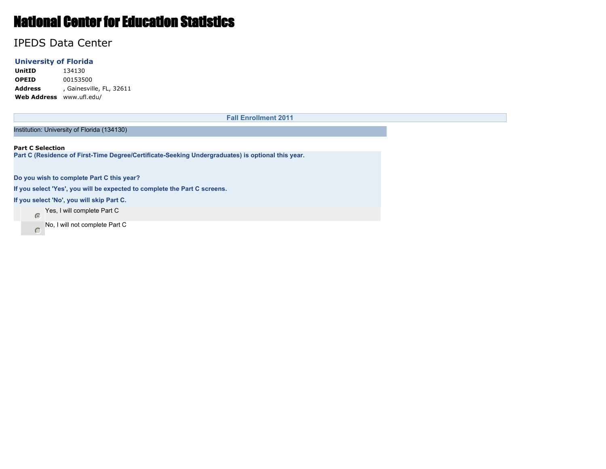# National Center for Education Statistics

## IPEDS Data Center

## **University of Florida**

**UnitID** 134130 **OPEID** 00153500 **Address** , Gainesville, FL, 32611 **Web Address** www.ufl.edu/

**Fall Enrollment 2011**

Institution: University of Florida (134130)

#### **Part C Selection**

**Part C (Residence of First-Time Degree/Certificate-Seeking Undergraduates) is optional this year.**

**Do you wish to complete Part C this year?**

**If you select 'Yes', you will be expected to complete the Part C screens.**

#### **If you select 'No', you will skip Part C.**



Yes, I will complete Part C

No, I will not complete Part C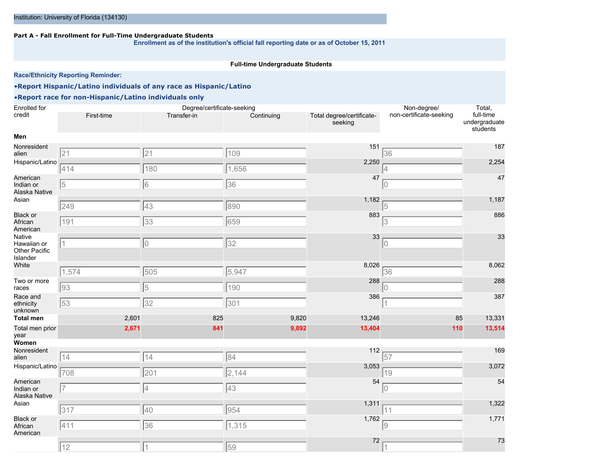## **Part A - Fall Enrollment for Full-Time Undergraduate Students**

**Enrollment as of the institution's official fall reporting date or as of October 15, 2011**

## **Full-time Undergraduate Students**

**Race/Ethnicity Reporting Reminder:**

•**Report Hispanic/Latino individuals of any race as Hispanic/Latino**

## •**Report race for non-Hispanic/Latino individuals only**

| Enrolled for                                       |             | Degree/certificate-seeking |            |                                      | Non-degree/             | Total,                                 |
|----------------------------------------------------|-------------|----------------------------|------------|--------------------------------------|-------------------------|----------------------------------------|
| credit                                             | First-time  | Transfer-in                | Continuing | Total degree/certificate-<br>seeking | non-certificate-seeking | full-time<br>undergraduate<br>students |
| Men                                                |             |                            |            |                                      |                         |                                        |
| Nonresident<br>alien                               | 21          | 21                         | 109        | 151                                  | 36                      | 187                                    |
| Hispanic/Latino                                    | 414         | 180                        | 1,656      | 2,250                                |                         | 2,254                                  |
| American<br>Indian or<br>Alaska Native             | 5           | 6                          | 36         | 47                                   | 0                       | 47                                     |
| Asian                                              | 249         | 43                         | 890        | 1,182                                | 15                      | 1,187                                  |
| Black or<br>African<br>American                    | 191         | $\overline{33}$            | 659        | 883                                  | 3                       | 886                                    |
| Native<br>Hawaiian or<br>Other Pacific<br>Islander | $\vert$ 1   | 0                          | 32         | 33                                   | $ 0\rangle$             | 33                                     |
| White                                              | 1,574       | 505                        | 5,947      | 8,026                                | 36                      | 8,062                                  |
| Two or more<br>races                               | 93          | 5                          | 190        | 288                                  |                         | 288                                    |
| Race and<br>ethnicity<br>unknown                   | 53          | 32                         | 301        | 386                                  |                         | 387                                    |
| <b>Total men</b>                                   | 2,601       | 825                        | 9,820      | 13,246                               | 85                      | 13,331                                 |
| Total men prior<br>year                            | 2,671       | 841                        | 9,892      | 13,404                               | 110                     | 13,514                                 |
| Women<br>Nonresident<br>alien                      | 14          | 14                         | 84         | 112                                  | 57                      | 169                                    |
| Hispanic/Latino                                    | 708         | $\sqrt{201}$               | 2,144      | 3,053                                | 19                      | 3,072                                  |
| American<br>Indian or<br>Alaska Native             | $\vert$ 7   | $\overline{4}$             | 43         | 54                                   | 0                       | 54                                     |
| Asian                                              | $317$       | $\overline{40}$            | 954        | 1,311                                | 11                      | 1,322                                  |
| <b>Black or</b><br>African<br>American             | 411         | 36                         | 1,315      | 1,762                                | 9                       | 1,771                                  |
|                                                    | $\sqrt{12}$ | $\overline{1}$             | 59         | 72                                   | $\vert$ 1               | 73                                     |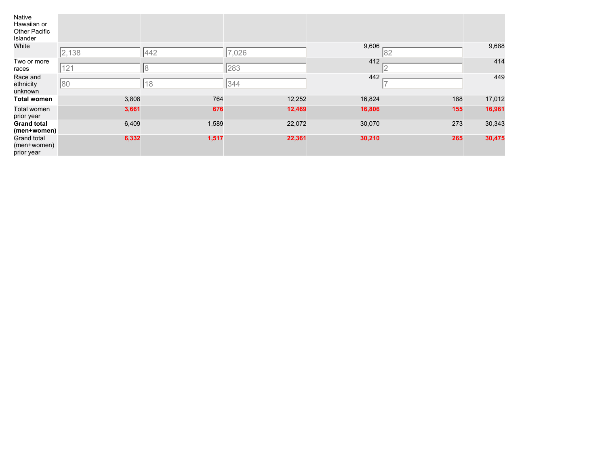| Native<br>Hawaiian or<br><b>Other Pacific</b><br>Islander |       |       |        |        |     |        |
|-----------------------------------------------------------|-------|-------|--------|--------|-----|--------|
| White                                                     | 2,138 | 442   | 7,026  | 9,606  | 82  | 9,688  |
| Two or more<br>races                                      | 121   | 8     | 283    | 412    |     | 414    |
| Race and<br>ethnicity<br>unknown                          | 80    | 18    | 344    | 442    |     | 449    |
| <b>Total women</b>                                        | 3,808 | 764   | 12,252 | 16,824 | 188 | 17,012 |
| Total women<br>prior year                                 | 3,661 | 676   | 12,469 | 16,806 | 155 | 16,961 |
| <b>Grand total</b><br>(men+women)                         | 6,409 | 1,589 | 22,072 | 30,070 | 273 | 30,343 |
| Grand total<br>(men+women)<br>prior year                  | 6,332 | 1,517 | 22,361 | 30,210 | 265 | 30,475 |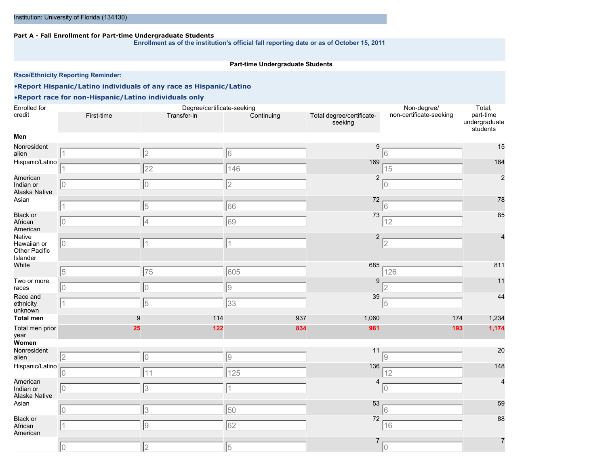## **Part A - Fall Enrollment for Part-time Undergraduate Students**

**Enrollment as of the institution's official fall reporting date or as of October 15, 2011**

## **Part-time Undergraduate Students**

**Race/Ethnicity Reporting Reminder:**

•**Report Hispanic/Latino individuals of any race as Hispanic/Latino**

## •**Report race for non-Hispanic/Latino individuals only**

| Enrolled for                                       |             | Degree/certificate-seeking |              |                                      | Non-degree/             | Total,                                 |
|----------------------------------------------------|-------------|----------------------------|--------------|--------------------------------------|-------------------------|----------------------------------------|
| credit                                             | First-time  | Transfer-in                | Continuing   | Total degree/certificate-<br>seeking | non-certificate-seeking | part-time<br>undergraduate<br>students |
| Men                                                |             |                            |              |                                      |                         |                                        |
| Nonresident<br>alien                               |             | $\overline{2}$             | 6            | 9                                    | 16                      | 15                                     |
| Hispanic/Latino                                    |             | 22                         | 146          | 169                                  | 15                      | 184                                    |
| American<br>Indian or<br>Alaska Native             | 10          | $\overline{0}$             | 2            | $\overline{2}$                       | 10                      | $\overline{c}$                         |
| Asian                                              |             | 5                          | 66           | 72                                   | 16                      | 78                                     |
| <b>Black or</b><br>African<br>American             | 10          | $\overline{4}$             | 69           | 73                                   | 12                      | 85                                     |
| Native<br>Hawaiian or<br>Other Pacific<br>Islander | 10          | 1                          | 1            | $\overline{2}$                       | 2                       |                                        |
| White                                              | $\sqrt{5}$  | 75                         | 605          | 685                                  | 126                     | 811                                    |
| Two or more<br>races                               | 10          | $\circ$                    | 9            | 9                                    | 2                       | 11                                     |
| Race and<br>ethnicity<br>unknown                   |             | 5                          | $ 33\rangle$ | 39                                   | 15                      | 44                                     |
| <b>Total men</b>                                   | 9           | 114                        | 937          | 1,060                                | 174                     | 1,234                                  |
| Total men prior<br>year<br>Women                   | 25          | 122                        | 834          | 981                                  | 193                     | 1,174                                  |
| Nonresident<br>alien                               | 2           | 10                         | 9            | 11                                   | 19                      | 20                                     |
| Hispanic/Latino                                    | 10          | 11                         | 125          | 136                                  | 12                      | 148                                    |
| American<br>Indian or<br>Alaska Native             | $ 0\rangle$ | 3                          | 1            | 4                                    | 0                       | $\overline{\mathcal{L}}$               |
| Asian                                              | 10          | 3                          | 50           | 53                                   | 16                      | 59                                     |
| <b>Black or</b><br>African<br>American             | 1           | 9                          | 62           | 72                                   | 16                      | 88                                     |
|                                                    | lo          | $\overline{2}$             | 5            | 7                                    | $ 0\rangle$             | 7                                      |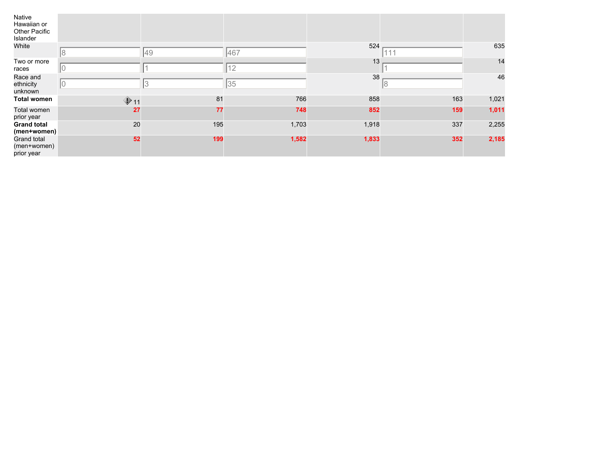| Native<br>Hawaiian or<br>Other Pacific<br>Islander |               |     |       |       |      |       |
|----------------------------------------------------|---------------|-----|-------|-------|------|-------|
| White                                              | 8             | 49  | 467   | 524   | .111 | 635   |
| Two or more<br>races                               |               |     | 12    | 13    |      | 14    |
| Race and<br>ethnicity<br>unknown                   | 10            |     | 35    | 38    | 18   | 46    |
| <b>Total women</b>                                 | $\bigcirc$ 11 | 81  | 766   | 858   | 163  | 1,021 |
| Total women<br>prior year                          | 27            | 77  | 748   | 852   | 159  | 1,011 |
| <b>Grand total</b><br>(men+women)                  | 20            | 195 | 1,703 | 1,918 | 337  | 2,255 |
| Grand total<br>(men+women)<br>prior year           | 52            | 199 | 1,582 | 1,833 | 352  | 2,185 |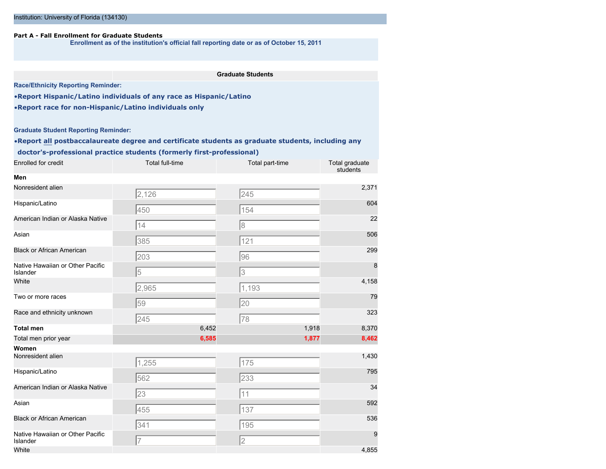### **Part A - Fall Enrollment for Graduate Students**

**Enrollment as of the institution's official fall reporting date or as of October 15, 2011**

**Graduate Students**

**Race/Ethnicity Reporting Reminder:**

•**Report Hispanic/Latino individuals of any race as Hispanic/Latino**

•**Report race for non-Hispanic/Latino individuals only**

#### **Graduate Student Reporting Reminder:**

## •**Report all postbaccalaureate degree and certificate students as graduate students, including any doctor's-professional practice students (formerly first-professional)**

| <b>Enrolled for credit</b>                   | <b>Total full-time</b> | Total part-time | Total graduate<br>students |
|----------------------------------------------|------------------------|-----------------|----------------------------|
| Men                                          |                        |                 |                            |
| Nonresident alien                            | 2,126                  | 245             | 2,371                      |
| Hispanic/Latino                              | 450                    | 154             | 604                        |
| American Indian or Alaska Native             | 14                     | 18              | 22                         |
| Asian                                        | 385                    | 121             | 506                        |
| <b>Black or African American</b>             | 203                    | 96              | 299                        |
| Native Hawaiian or Other Pacific<br>Islander | 5                      | 3               | 8                          |
| White                                        | 2,965                  | 1,193           | 4,158                      |
| Two or more races                            | 59                     | 20              | 79                         |
| Race and ethnicity unknown                   | 245                    | 78              | 323                        |
| <b>Total men</b>                             | 6,452                  |                 | 1,918<br>8,370             |
| Total men prior year                         | 6,585                  |                 | 1,877<br>8,462             |
| Women                                        |                        |                 |                            |
| Nonresident alien                            | 1,255                  | 175             | 1,430                      |
| Hispanic/Latino                              | 562                    | 233             | 795                        |
| American Indian or Alaska Native             | 23                     | 11              | 34                         |
| Asian                                        | 455                    | 137             | 592                        |
| <b>Black or African American</b>             | 341                    | 195             | 536                        |
| Native Hawaiian or Other Pacific<br>Islander | 7                      | 2               | 9                          |
| White                                        |                        |                 | 4,855                      |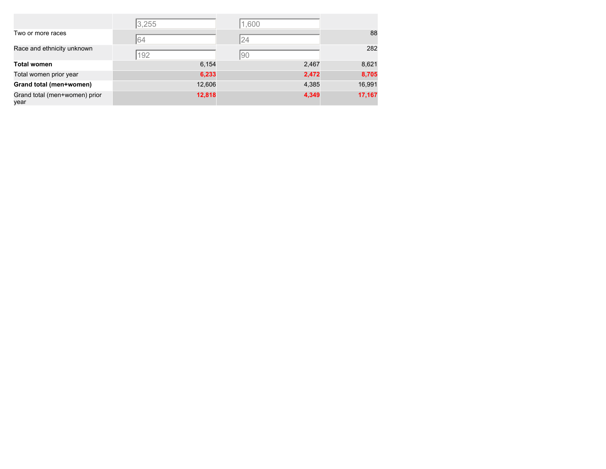|                                       | 3,255  | 1,600 |        |
|---------------------------------------|--------|-------|--------|
| Two or more races                     | 164    | 24    | 88     |
| Race and ethnicity unknown            | 192    | 90    | 282    |
| <b>Total women</b>                    | 6,154  | 2,467 | 8,621  |
| Total women prior year                | 6,233  | 2,472 | 8,705  |
| Grand total (men+women)               | 12,606 | 4,385 | 16,991 |
| Grand total (men+women) prior<br>year | 12,818 | 4,349 | 17,167 |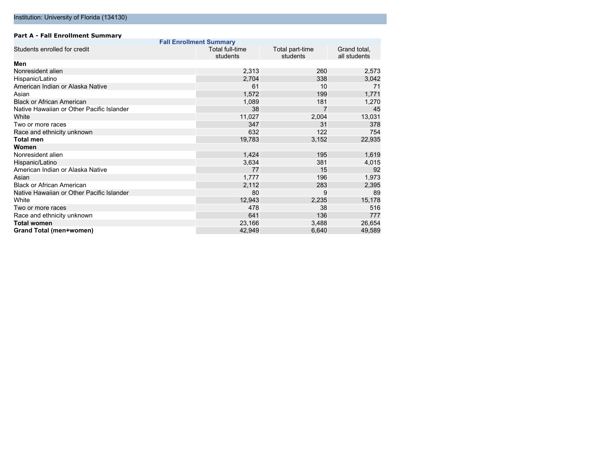## Institution: University of Florida (134130)

## **Part A - Fall Enrollment Summary**

|                                           | <b>Fall Enrollment Summary</b> |                             |                              |
|-------------------------------------------|--------------------------------|-----------------------------|------------------------------|
| Students enrolled for credit              | Total full-time<br>students    | Total part-time<br>students | Grand total,<br>all students |
| Men                                       |                                |                             |                              |
| Nonresident alien                         | 2,313                          | 260                         | 2,573                        |
| Hispanic/Latino                           | 2,704                          | 338                         | 3,042                        |
| American Indian or Alaska Native          | 61                             | 10                          | 71                           |
| Asian                                     | 1,572                          | 199                         | 1,771                        |
| <b>Black or African American</b>          | 1,089                          | 181                         | 1,270                        |
| Native Hawaiian or Other Pacific Islander | 38                             | 7                           | 45                           |
| White                                     | 11,027                         | 2,004                       | 13,031                       |
| Two or more races                         | 347                            | 31                          | 378                          |
| Race and ethnicity unknown                | 632                            | 122                         | 754                          |
| <b>Total men</b>                          | 19,783                         | 3,152                       | 22,935                       |
| Women                                     |                                |                             |                              |
| Nonresident alien                         | 1,424                          | 195                         | 1,619                        |
| Hispanic/Latino                           | 3,634                          | 381                         | 4,015                        |
| American Indian or Alaska Native          | 77                             | 15                          | 92                           |
| Asian                                     | 1,777                          | 196                         | 1,973                        |
| <b>Black or African American</b>          | 2,112                          | 283                         | 2,395                        |
| Native Hawaiian or Other Pacific Islander | 80                             | 9                           | 89                           |
| White                                     | 12,943                         | 2,235                       | 15,178                       |
| Two or more races                         | 478                            | 38                          | 516                          |
| Race and ethnicity unknown                | 641                            | 136                         | 777                          |
| <b>Total women</b>                        | 23,166                         | 3,488                       | 26,654                       |
| Grand Total (men+women)                   | 42,949                         | 6,640                       | 49,589                       |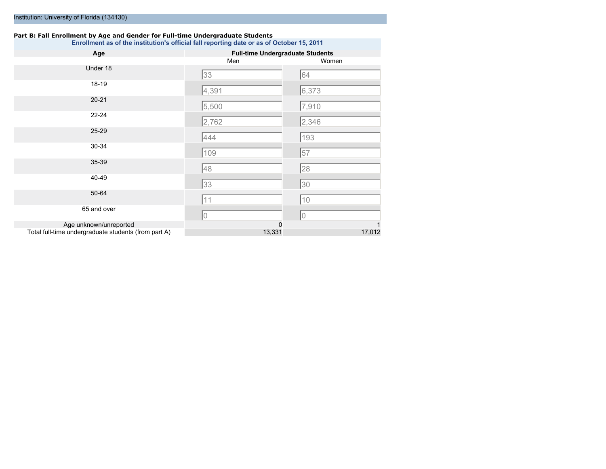#### **Part B: Fall Enrollment by Age and Gender for Full-time Undergraduate Students Enrollment as of the institution's official fall reporting date or as of October 15, 2011**

| Age                                                  | <b>Full-time Undergraduate Students</b> |        |  |
|------------------------------------------------------|-----------------------------------------|--------|--|
|                                                      | Men                                     | Women  |  |
| Under 18                                             | 33                                      | 64     |  |
| 18-19                                                | 4,391                                   | 6,373  |  |
| $20 - 21$                                            | 5,500                                   | 7,910  |  |
| $22 - 24$                                            | 2,762                                   | 2,346  |  |
| 25-29                                                | 444                                     | 193    |  |
| 30-34                                                | 109                                     | 57     |  |
| 35-39                                                | 48                                      | 28     |  |
| 40-49                                                | 33                                      | 30     |  |
| 50-64                                                | 11                                      | 10     |  |
| 65 and over                                          | $\overline{0}$                          | 0      |  |
| Age unknown/unreported                               | $\mathbf 0$                             |        |  |
| Total full-time undergraduate students (from part A) | 13,331                                  | 17,012 |  |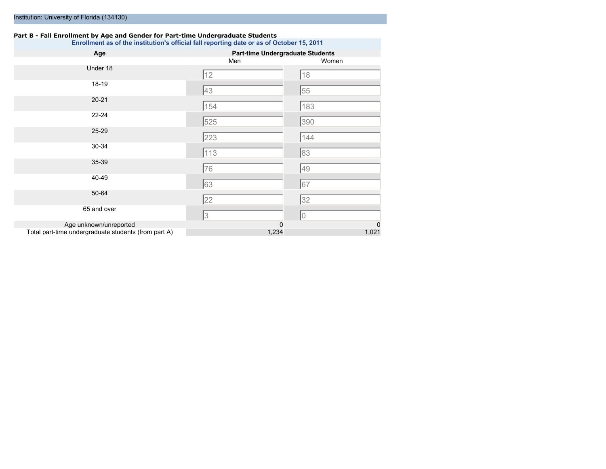#### **Part B - Fall Enrollment by Age and Gender for Part-time Undergraduate Students Enrollment as of the institution's official fall reporting date or as of October 15, 2011**

| Age                                                  | Part-time Undergraduate Students |       |  |  |
|------------------------------------------------------|----------------------------------|-------|--|--|
|                                                      | Men                              | Women |  |  |
| Under 18                                             | 12                               | 18    |  |  |
| 18-19                                                | 43                               | 55    |  |  |
| $20 - 21$                                            | 154                              | 183   |  |  |
| 22-24                                                | 525                              | 390   |  |  |
| 25-29                                                | 223                              | 144   |  |  |
| 30-34                                                | 113                              | 83    |  |  |
| 35-39                                                | 76                               | 49    |  |  |
| 40-49                                                | 63                               | 67    |  |  |
| 50-64                                                | 22                               | 32    |  |  |
| 65 and over                                          | 3                                | 10    |  |  |
| Age unknown/unreported                               | $\mathbf 0$                      | 0     |  |  |
| Total part-time undergraduate students (from part A) | 1,234                            | 1,021 |  |  |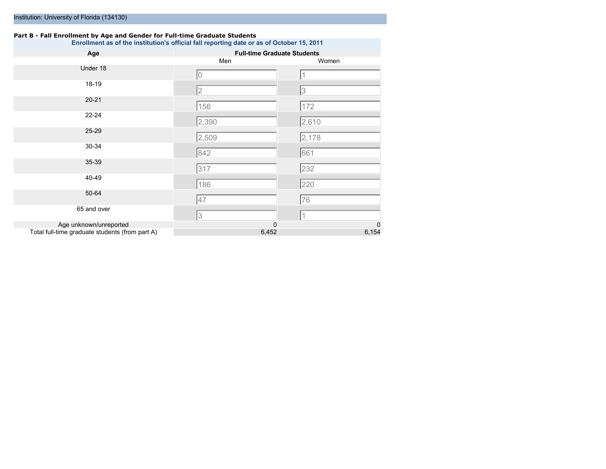#### **Part B - Fall Enrollment by Age and Gender for Full-time Graduate Students**

| Enrollment as of the institution's official fall reporting date or as of October 15, 2011 |                                    |       |  |  |  |
|-------------------------------------------------------------------------------------------|------------------------------------|-------|--|--|--|
| Age                                                                                       | <b>Full-time Graduate Students</b> |       |  |  |  |
|                                                                                           | Men                                | Women |  |  |  |
| Under 18                                                                                  |                                    |       |  |  |  |
| 18-19                                                                                     | 2                                  | 3     |  |  |  |
| $20 - 21$                                                                                 | 156                                | 172   |  |  |  |
| 22-24                                                                                     | 2,390                              | 2,610 |  |  |  |
| 25-29                                                                                     | 2,509                              | 2,178 |  |  |  |
| 30-34                                                                                     | 842                                | 661   |  |  |  |
| 35-39                                                                                     | 317                                | 232   |  |  |  |
| 40-49                                                                                     | 186                                | 220   |  |  |  |
| 50-64                                                                                     | 47                                 | 76    |  |  |  |
| 65 and over                                                                               | 3                                  |       |  |  |  |
| Age unknown/unreported                                                                    | 0                                  | 0     |  |  |  |
| Total full-time graduate students (from part A)                                           | 6,452                              | 6,154 |  |  |  |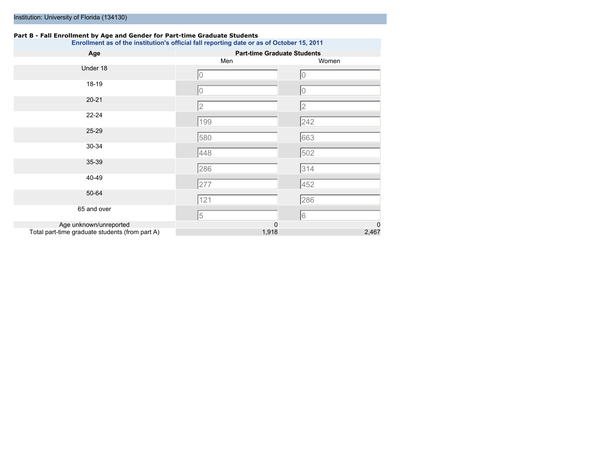#### **Part B - Fall Enrollment by Age and Gender for Part-time Graduate Students**

**Enrollment as of the institution's official fall reporting date or as of October 15, 2011**

| Age                                             | <b>Part-time Graduate Students</b> |       |  |  |
|-------------------------------------------------|------------------------------------|-------|--|--|
|                                                 | Men                                | Women |  |  |
| Under 18                                        | 10                                 | 10    |  |  |
| 18-19                                           | 10                                 | 10    |  |  |
| $20 - 21$                                       | 2                                  | 2     |  |  |
| 22-24                                           | 199                                | 242   |  |  |
| 25-29                                           | 580                                | 663   |  |  |
| 30-34                                           | 448                                | 502   |  |  |
| 35-39                                           | 286                                | 314   |  |  |
| 40-49                                           | 277                                | 452   |  |  |
| 50-64                                           | 121                                | 286   |  |  |
| 65 and over                                     | 5                                  | 16    |  |  |
| Age unknown/unreported                          | $\mathbf 0$                        | 0     |  |  |
| Total part-time graduate students (from part A) | 1,918                              | 2,467 |  |  |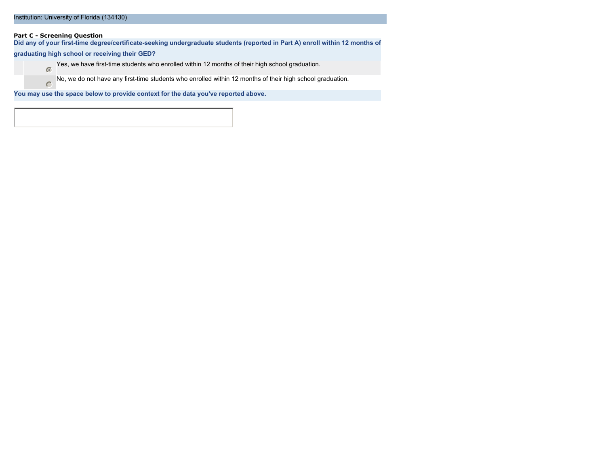#### **Part C - Screening Question**

 $\subset$ 

**Did any of your first-time degree/certificate-seeking undergraduate students (reported in Part A) enroll within 12 months of**

#### **graduating high school or receiving their GED?**

Yes, we have first-time students who enrolled within 12 months of their high school graduation.

No, we do not have any first-time students who enrolled within 12 months of their high school graduation.

**You may use the space below to provide context for the data you've reported above.**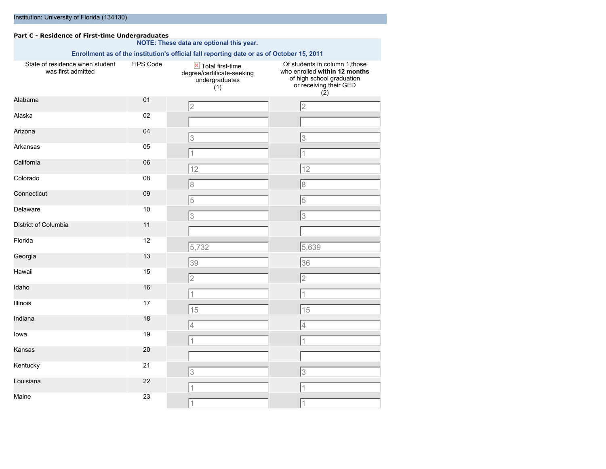#### **Part C - Residence of First-time Undergraduates**

| NOTE: These data are optional this year.              |           |                                                                                                 |                                                                                                                               |  |  |
|-------------------------------------------------------|-----------|-------------------------------------------------------------------------------------------------|-------------------------------------------------------------------------------------------------------------------------------|--|--|
|                                                       |           | Enrollment as of the institution's official fall reporting date or as of October 15, 2011       |                                                                                                                               |  |  |
| State of residence when student<br>was first admitted | FIPS Code | $\overline{\mathbf{x}}$ Total first-time<br>degree/certificate-seeking<br>undergraduates<br>(1) | Of students in column 1, those<br>who enrolled within 12 months<br>of high school graduation<br>or receiving their GED<br>(2) |  |  |
| Alabama                                               | 01        | $\overline{2}$                                                                                  | 2                                                                                                                             |  |  |
| Alaska                                                | 02        |                                                                                                 |                                                                                                                               |  |  |
| Arizona                                               | 04        | $\overline{3}$                                                                                  | 3                                                                                                                             |  |  |
| Arkansas                                              | 05        | 1                                                                                               |                                                                                                                               |  |  |
| California                                            | 06        | 12                                                                                              | 12                                                                                                                            |  |  |
| Colorado                                              | 08        | $\overline{8}$                                                                                  | 18                                                                                                                            |  |  |
| Connecticut                                           | 09        | 5                                                                                               | 5                                                                                                                             |  |  |
| Delaware                                              | 10        | 3                                                                                               | 3                                                                                                                             |  |  |
| District of Columbia                                  | 11        |                                                                                                 |                                                                                                                               |  |  |
| Florida                                               | 12        | 5,732                                                                                           | 5,639                                                                                                                         |  |  |
| Georgia                                               | 13        | 39                                                                                              | 36                                                                                                                            |  |  |
| Hawaii                                                | 15        | $\overline{2}$                                                                                  | l2                                                                                                                            |  |  |
| Idaho                                                 | 16        | $\overline{1}$                                                                                  | $\vert$ 1                                                                                                                     |  |  |
| Illinois                                              | 17        | 15                                                                                              | 15                                                                                                                            |  |  |
| Indiana                                               | 18        | $\overline{4}$                                                                                  | 4                                                                                                                             |  |  |
| lowa                                                  | 19        |                                                                                                 |                                                                                                                               |  |  |
| Kansas                                                | 20        |                                                                                                 |                                                                                                                               |  |  |
| Kentucky                                              | 21        | 3                                                                                               | 3                                                                                                                             |  |  |
| Louisiana                                             | 22        | 1                                                                                               | $\overline{1}$                                                                                                                |  |  |
| Maine                                                 | 23        | 1                                                                                               | 1                                                                                                                             |  |  |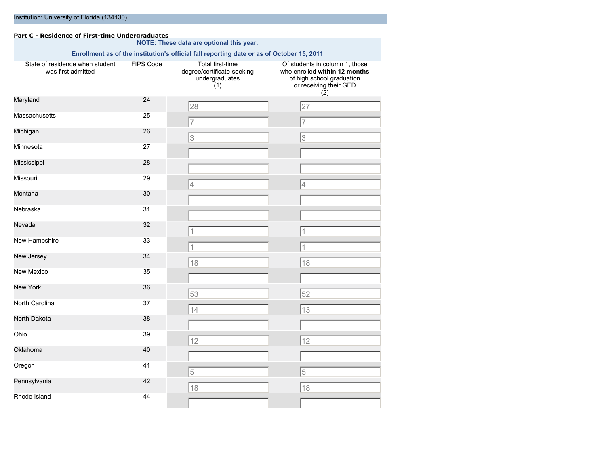#### **Part C - Residence of First-time Undergraduates**

| NOTE: These data are optional this year.                                                  |                  |                                                                         |                                                                                                                               |
|-------------------------------------------------------------------------------------------|------------------|-------------------------------------------------------------------------|-------------------------------------------------------------------------------------------------------------------------------|
| Enrollment as of the institution's official fall reporting date or as of October 15, 2011 |                  |                                                                         |                                                                                                                               |
| State of residence when student<br>was first admitted                                     | <b>FIPS Code</b> | Total first-time<br>degree/certificate-seeking<br>undergraduates<br>(1) | Of students in column 1, those<br>who enrolled within 12 months<br>of high school graduation<br>or receiving their GED<br>(2) |
| Maryland                                                                                  | 24               | 28                                                                      | 27                                                                                                                            |
| Massachusetts                                                                             | 25               | $\overline{7}$                                                          | $\overline{7}$                                                                                                                |
| Michigan                                                                                  | 26               | 3                                                                       | 3                                                                                                                             |
| Minnesota                                                                                 | 27               |                                                                         |                                                                                                                               |
| Mississippi                                                                               | 28               |                                                                         |                                                                                                                               |
| Missouri                                                                                  | 29               | 4                                                                       | 4                                                                                                                             |
| Montana                                                                                   | 30               |                                                                         |                                                                                                                               |
| Nebraska                                                                                  | 31               |                                                                         |                                                                                                                               |
| Nevada                                                                                    | 32               |                                                                         | 1                                                                                                                             |
| New Hampshire                                                                             | 33               | 1                                                                       | $\overline{\phantom{a}}$                                                                                                      |
| New Jersey                                                                                | 34               | 18                                                                      | 18                                                                                                                            |
| New Mexico                                                                                | 35               |                                                                         |                                                                                                                               |
| <b>New York</b>                                                                           | 36               | 53                                                                      | 52                                                                                                                            |
| North Carolina                                                                            | 37               | 14                                                                      | 13                                                                                                                            |
| North Dakota                                                                              | 38               |                                                                         |                                                                                                                               |
| Ohio                                                                                      | 39               | 12                                                                      | 12                                                                                                                            |
| Oklahoma                                                                                  | 40               |                                                                         |                                                                                                                               |
| Oregon                                                                                    | 41               | 5                                                                       | 5                                                                                                                             |
| Pennsylvania                                                                              | 42               | 18                                                                      | 18                                                                                                                            |
| Rhode Island                                                                              | 44               |                                                                         |                                                                                                                               |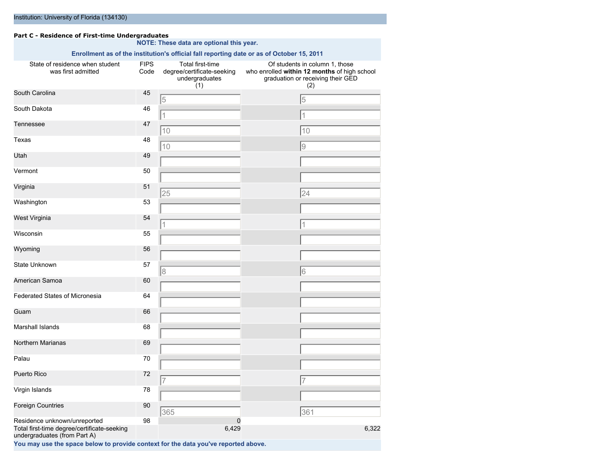#### **Part C - Residence of First-time Undergraduates NOTE: These data are optional this year.**

**Enrollment as of the institution's official fall reporting date or as of October 15, 2011** State of residence when student was first admitted FIPS Code Total first-time degree/certificate-seeking undergraduates (1) Of students in column 1, those who enrolled **within 12 months** of high school graduation or receiving their GED (2) South Carolina 45 South Dakota 46 Tennessee 47 Texas 48 Utah 49 Vermont 50 Virginia 51 Washington 53 West Virginia 64 Wisconsin 55 Wyoming 56 State Unknown 57 American Samoa 60 Federated States of Micronesia 64 Guam 66 Marshall Islands 68 Northern Marianas 69 Palau 70 Puerto Rico 72 Virgin Islands 78 Foreign Countries 90 Residence unknown/unreported 98 0 Total first-time degree/certificate-seeking undergraduates (from Part A) 6,429 6,322 **You may use the space below to provide context for the data you've reported above.** 5 5 1 1 10 10 10 **9** 25 24 1 1 8 <mark>6</mark> 7 7 365 365 365 365 366 367 368 368 369 361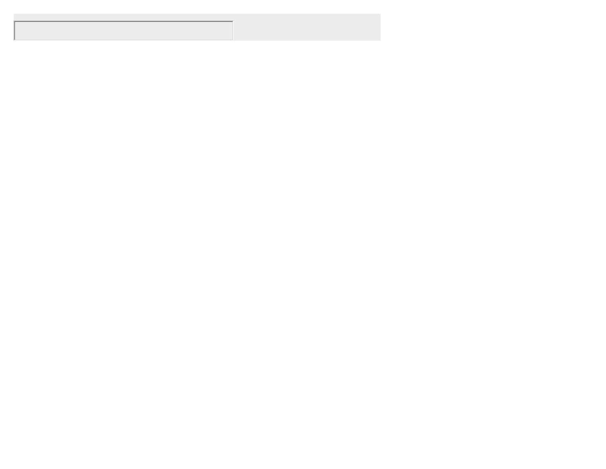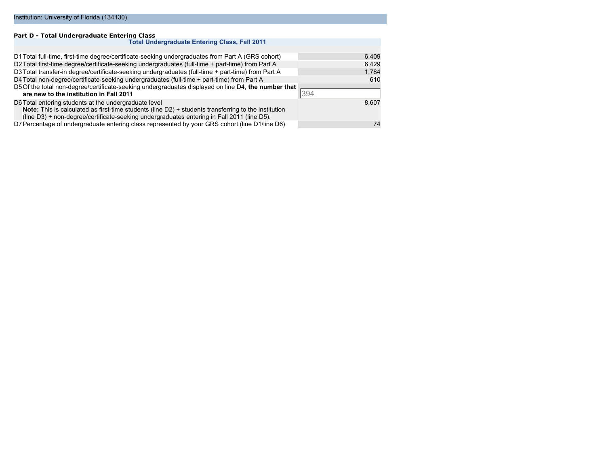## **Part D - Total Undergraduate Entering Class**

| <b>Total Undergraduate Entering Class, Fall 2011</b>                                                        |       |  |
|-------------------------------------------------------------------------------------------------------------|-------|--|
|                                                                                                             |       |  |
| D1 Total full-time, first-time degree/certificate-seeking undergraduates from Part A (GRS cohort)           | 6,409 |  |
| D2 Total first-time degree/certificate-seeking undergraduates (full-time + part-time) from Part A           | 6,429 |  |
| D3 Total transfer-in degree/certificate-seeking undergraduates (full-time + part-time) from Part A          | 1,784 |  |
| D4 Total non-degree/certificate-seeking undergraduates (full-time + part-time) from Part A                  | 610   |  |
| D5 Of the total non-degree/certificate-seeking undergraduates displayed on line D4, the number that         |       |  |
| are new to the institution in Fall 2011                                                                     | 394   |  |
| D6 Total entering students at the undergraduate level                                                       | 8,607 |  |
| <b>Note:</b> This is calculated as first-time students (line D2) + students transferring to the institution |       |  |
| (line D3) + non-degree/certificate-seeking undergraduates entering in Fall 2011 (line D5).                  |       |  |
| D7 Percentage of undergraduate entering class represented by your GRS cohort (line D1/line D6)              |       |  |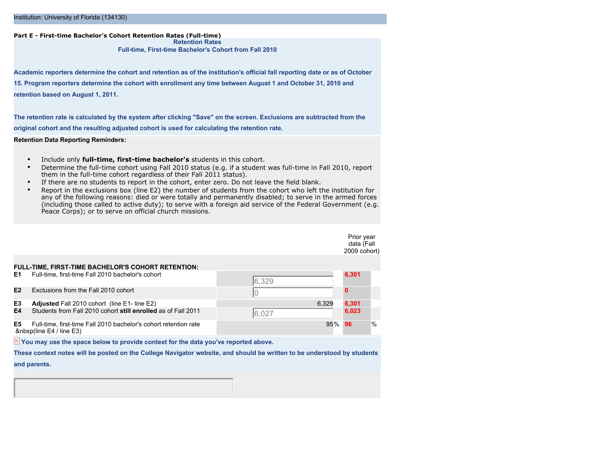#### **Part E - First-time Bachelor's Cohort Retention Rates (Full-time) Retention Rates**

**Full-time, First-time Bachelor's Cohort from Fall 2010**

**Academic reporters determine the cohort and retention as of the institution's official fall reporting date or as of October 15. Program reporters determine the cohort with enrollment any time between August 1 and October 31, 2010 and retention based on August 1, 2011.**

**The retention rate is calculated by the system after clicking "Save" on the screen. Exclusions are subtracted from the original cohort and the resulting adjusted cohort is used for calculating the retention rate.**

#### **Retention Data Reporting Reminders:**

- Include only **full-time, first-time bachelor's** students in this cohort.
- Determine the full-time cohort using Fall 2010 status (e.g. if a student was full-time in Fall 2010, report them in the full-time cohort regardless of their Fall 2011 status).
- If there are no students to report in the cohort, enter zero. Do not leave the field blank.<br>• Report in the exclusions box (line E2) the number of students from the cohort who left the
- Report in the exclusions box (line E2) the number of students from the cohort who left the institution for any of the following reasons: died or were totally and permanently disabled; to serve in the armed forces (including those called to active duty); to serve with a foreign aid service of the Federal Government (e.g. Peace Corps); or to serve on official church missions.

|    |                                                                                         |       |       | Prior year<br>data (Fall<br>2009 cohort) |      |
|----|-----------------------------------------------------------------------------------------|-------|-------|------------------------------------------|------|
|    | <b>FULL-TIME, FIRST-TIME BACHELOR'S COHORT RETENTION:</b>                               |       |       |                                          |      |
| E1 | Full-time, first-time Fall 2010 bachelor's cohort                                       | 6.329 |       | 6,301                                    |      |
| E2 | Exclusions from the Fall 2010 cohort                                                    |       |       |                                          |      |
| E3 | Adjusted Fall 2010 cohort (line E1- line E2)                                            |       | 6,329 | 6,301                                    |      |
| E4 | Students from Fall 2010 cohort still enrolled as of Fall 2011                           | 6,027 |       | 6,023                                    |      |
| E5 | Full-time, first-time Fall 2010 bachelor's cohort retention rate<br>(line E4 / line E3) |       | 95%   | -96                                      | $\%$ |

 $\overline{\mathbb{X}}$  You may use the space below to provide context for the data you've reported above.

**These context notes will be posted on the College Navigator website, and should be written to be understood by students and parents.**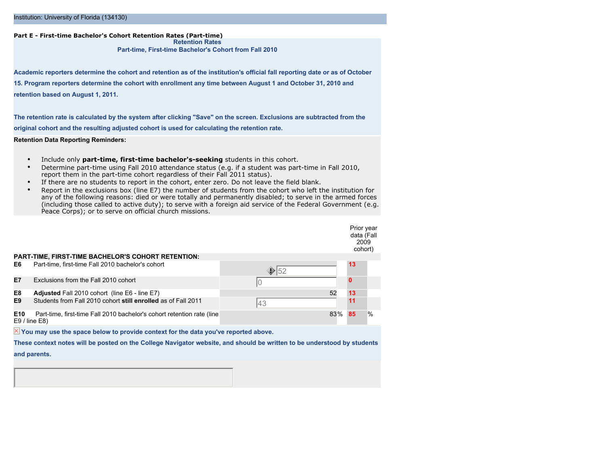#### **Part E - First-time Bachelor's Cohort Retention Rates (Part-time) Retention Rates**

**Part-time, First-time Bachelor's Cohort from Fall 2010**

**Academic reporters determine the cohort and retention as of the institution's official fall reporting date or as of October 15. Program reporters determine the cohort with enrollment any time between August 1 and October 31, 2010 and retention based on August 1, 2011.**

**The retention rate is calculated by the system after clicking "Save" on the screen. Exclusions are subtracted from the original cohort and the resulting adjusted cohort is used for calculating the retention rate.**

**Retention Data Reporting Reminders:**

- Include only **part-time, first-time bachelor's-seeking** students in this cohort.
- Determine part-time using Fall 2010 attendance status (e.g. if a student was part-time in Fall 2010, report them in the part-time cohort regardless of their Fall 2011 status).
- If there are no students to report in the cohort, enter zero. Do not leave the field blank.<br>• Report in the exclusions hox (line F7) the number of students from the cohort who left the
- Report in the exclusions box (line E7) the number of students from the cohort who left the institution for any of the following reasons: died or were totally and permanently disabled; to serve in the armed forces (including those called to active duty); to serve with a foreign aid service of the Federal Government (e.g. Peace Corps); or to serve on official church missions.

|                      |                                                                        |               | Prior year<br>data (Fall<br>2009<br>cohort) |               |
|----------------------|------------------------------------------------------------------------|---------------|---------------------------------------------|---------------|
|                      | PART-TIME, FIRST-TIME BACHELOR'S COHORT RETENTION:                     |               |                                             |               |
| E6                   | Part-time, first-time Fall 2010 bachelor's cohort                      | $\bigcirc$ 52 | 13                                          |               |
| E7                   | Exclusions from the Fall 2010 cohort                                   |               | 0                                           |               |
| E8                   | Adjusted Fall 2010 cohort (line E6 - line E7)                          | 52            | 13                                          |               |
| E9                   | Students from Fall 2010 cohort still enrolled as of Fall 2011          | 43            | -11                                         |               |
| E10<br>E9 / line E8) | Part-time, first-time Fall 2010 bachelor's cohort retention rate (line | 83%           | 85                                          | $\frac{0}{0}$ |

**X** You may use the space below to provide context for the data you've reported above.

**These context notes will be posted on the College Navigator website, and should be written to be understood by students and parents.**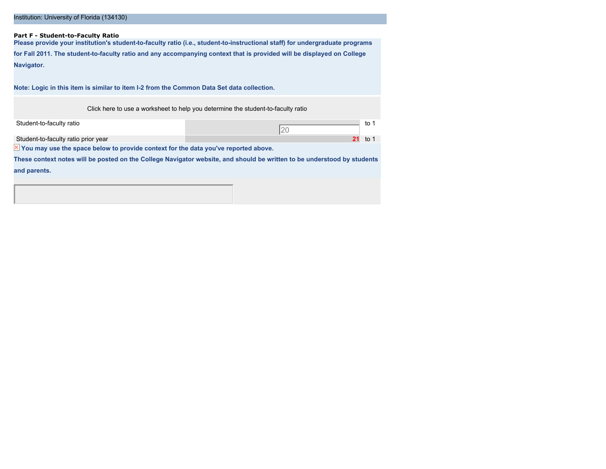| Institution: University of Florida (134130) |  |
|---------------------------------------------|--|
|---------------------------------------------|--|

#### **Part F - Student-to-Faculty Ratio**

**Please provide your institution's student-to-faculty ratio (i.e., student-to-instructional staff) for undergraduate programs for Fall 2011. The student-to-faculty ratio and any accompanying context that is provided will be displayed on College Navigator.**

**Note: Logic in this item is similar to item I-2 from the Common Data Set data collection.**

Click here to use a worksheet to help you determine the student-to-faculty ratio

| Student-to-faculty ratio            |    | to |
|-------------------------------------|----|----|
| Student-to-faculty ratio prior year | 21 | to |

 $\overline{\mathbb{X}}$  You may use the space below to provide context for the data you've reported above.

**These context notes will be posted on the College Navigator website, and should be written to be understood by students and parents.**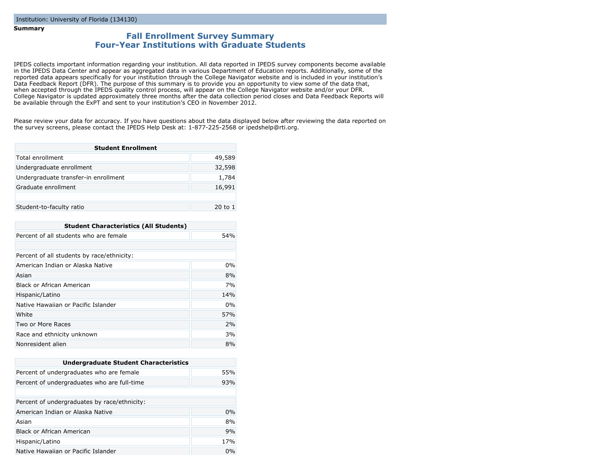#### **Summary**

## **Fall Enrollment Survey Summary Four-Year Institutions with Graduate Students**

IPEDS collects important information regarding your institution. All data reported in IPEDS survey components become available in the IPEDS Data Center and appear as aggregated data in various Department of Education reports. Additionally, some of the reported data appears specifically for your institution through the College Navigator website and is included in your institution's Data Feedback Report (DFR). The purpose of this summary is to provide you an opportunity to view some of the data that, when accepted through the IPEDS quality control process, will appear on the College Navigator website and/or your DFR. College Navigator is updated approximately three months after the data collection period closes and Data Feedback Reports will be available through the ExPT and sent to your institution's CEO in November 2012.

Please review your data for accuracy. If you have questions about the data displayed below after reviewing the data reported on the survey screens, please contact the IPEDS Help Desk at: 1-877-225-2568 or ipedshelp@rti.org.

| <b>Student Enrollment</b>            |         |
|--------------------------------------|---------|
| Total enrollment                     | 49,589  |
| Undergraduate enrollment             | 32,598  |
| Undergraduate transfer-in enrollment | 1,784   |
| Graduate enrollment                  | 16,991  |
|                                      |         |
| Student-to-faculty ratio             | 20 to 1 |

| <b>Student Characteristics (All Students)</b> |       |
|-----------------------------------------------|-------|
| Percent of all students who are female        | 54%   |
|                                               |       |
| Percent of all students by race/ethnicity:    |       |
| American Indian or Alaska Native              | $0\%$ |
| Asian                                         | 8%    |
| Black or African American                     | 7%    |
| Hispanic/Latino                               | 14%   |
| Native Hawaiian or Pacific Islander           | 0%    |
| White                                         | 57%   |
| Two or More Races                             | 2%    |
| Race and ethnicity unknown                    | 3%    |
| Nonresident alien                             | 8%    |

| <b>Undergraduate Student Characteristics</b> |     |
|----------------------------------------------|-----|
| Percent of undergraduates who are female     | 55% |
| Percent of undergraduates who are full-time  | 93% |
|                                              |     |
| Percent of undergraduates by race/ethnicity: |     |
| American Indian or Alaska Native             | 0%  |
| Asian                                        | 8%  |
| <b>Black or African American</b>             | 9%  |
| Hispanic/Latino                              | 17% |
| Native Hawaiian or Pacific Islander          | 0%  |